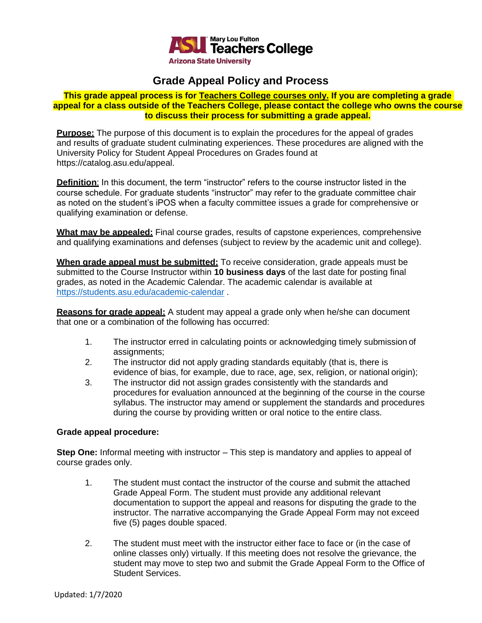

# **Grade Appeal Policy and Process**

## **This grade appeal process is for Teachers College courses only. If you are completing a grade appeal for a class outside of the Teachers College, please contact the college who owns the course to discuss their process for submitting a grade appeal.**

**Purpose:** The purpose of this document is to explain the procedures for the appeal of grades and results of graduate student culminating experiences. These procedures are aligned with the University Policy for Student Appeal Procedures on Grades found at https://catalog.asu.edu/appeal.

**Definition:** In this document, the term "instructor" refers to the course instructor listed in the course schedule. For graduate students "instructor" may refer to the graduate committee chair as noted on the student's iPOS when a faculty committee issues a grade for comprehensive or qualifying examination or defense.

**What may be appealed:** Final course grades, results of capstone experiences, comprehensive and qualifying examinations and defenses (subject to review by the academic unit and college).

**When grade appeal must be submitted:** To receive consideration, grade appeals must be submitted to the Course Instructor within **10 business days** of the last date for posting final grades, as noted in the Academic Calendar. The academic calendar is available at <https://students.asu.edu/academic-calendar> .

**Reasons for grade appeal:** A student may appeal a grade only when he/she can document that one or a combination of the following has occurred:

- 1. The instructor erred in calculating points or acknowledging timely submission of assignments;
- 2. The instructor did not apply grading standards equitably (that is, there is evidence of bias, for example, due to race, age, sex, religion, or national origin);
- 3. The instructor did not assign grades consistently with the standards and procedures for evaluation announced at the beginning of the course in the course syllabus. The instructor may amend or supplement the standards and procedures during the course by providing written or oral notice to the entire class.

## **Grade appeal procedure:**

**Step One:** Informal meeting with instructor – This step is mandatory and applies to appeal of course grades only.

- 1. The student must contact the instructor of the course and submit the attached Grade Appeal Form. The student must provide any additional relevant documentation to support the appeal and reasons for disputing the grade to the instructor. The narrative accompanying the Grade Appeal Form may not exceed five (5) pages double spaced.
- 2. The student must meet with the instructor either face to face or (in the case of online classes only) virtually. If this meeting does not resolve the grievance, the student may move to step two and submit the Grade Appeal Form to the Office of Student Services.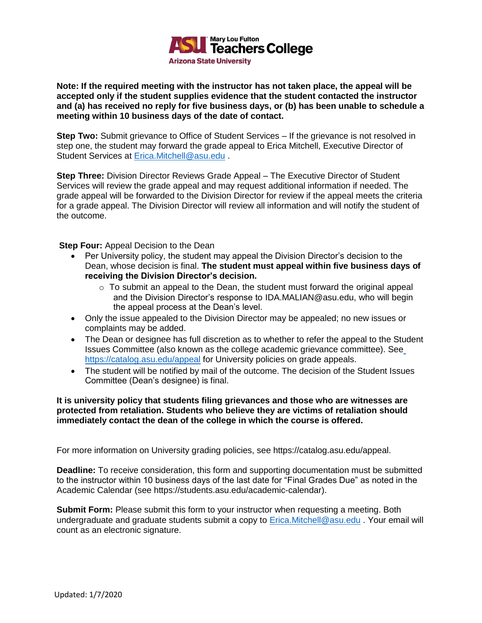

#### **Note: If the required meeting with the instructor has not taken place, the appeal will be accepted only if the student supplies evidence that the student contacted the instructor and (a) has received no reply for five business days, or (b) has been unable to schedule a meeting within 10 business days of the date of contact.**

**Step Two:** Submit grievance to Office of Student Services – If the grievance is not resolved in step one, the student may forward the grade appeal to Erica Mitchell, Executive Director of Student Services at [Erica.Mitchell@asu.edu](mailto:Erica.Mitchell@asu.edu) .

**Step Three:** Division Director Reviews Grade Appeal – The Executive Director of Student Services will review the grade appeal and may request additional information if needed. The grade appeal will be forwarded to the Division Director for review if the appeal meets the criteria for a grade appeal. The Division Director will review all information and will notify the student of the outcome.

**Step Four:** Appeal Decision to the Dean

- Per University policy, the student may appeal the Division Director's decision to the Dean, whose decision is final. **The student must appeal within five business days of receiving the Division Director's decision.**
	- $\circ$  To submit an appeal to the Dean, the student must forward the original appeal and the Division Director's response to [IDA.MALIAN@asu.edu,](mailto:IDA.MALIAN@asu.edu) who will begin the appeal process at the Dean's level.
- Only the issue appealed to the Division Director may be appealed; no new issues or complaints may be added.
- The Dean or designee has full discretion as to whether to refer the appeal to the Student Issues Committee (also known as the college academic grievance committee). See <https://catalog.asu.edu/appeal> for University policies on grade appeals.
- The student will be notified by mail of the outcome. The decision of the Student Issues Committee (Dean's designee) is final.

#### **It is university policy that students filing grievances and those who are witnesses are protected from retaliation. Students who believe they are victims of retaliation should immediately contact the dean of the college in which the course is offered.**

For more information on University grading policies, see https://catalog.asu.edu/appeal.

**Deadline:** To receive consideration, this form and supporting documentation must be submitted to the instructor within 10 business days of the last date for "Final Grades Due" as noted in the Academic Calendar (see https://students.asu.edu/academic-calendar).

**Submit Form:** Please submit this form to your instructor when requesting a meeting. Both undergraduate and graduate students submit a copy to [Erica.Mitchell@asu.edu](mailto:Erica.Mitchell@asu.edu). Your email will count as an electronic signature.